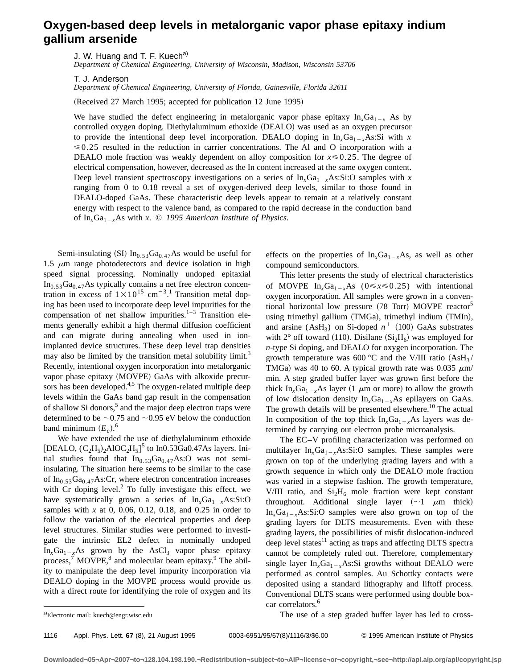## **Oxygen-based deep levels in metalorganic vapor phase epitaxy indium gallium arsenide**

J. W. Huang and T. F. Kuech<sup>a)</sup>

*Department of Chemical Engineering, University of Wisconsin, Madison, Wisconsin 53706*

T. J. Anderson

*Department of Chemical Engineering, University of Florida, Gainesville, Florida 32611*

(Received 27 March 1995; accepted for publication 12 June 1995)

We have studied the defect engineering in metalorganic vapor phase epitaxy  $In_{x}Ga_{1-x}$  As by controlled oxygen doping. Diethylaluminum ethoxide (DEALO) was used as an oxygen precursor to provide the intentional deep level incorporation. DEALO doping in  $In_xGa_{1-x}As:Si$  with *x*  $\leq 0.25$  resulted in the reduction in carrier concentrations. The Al and O incorporation with a DEALO mole fraction was weakly dependent on alloy composition for  $x \le 0.25$ . The degree of electrical compensation, however, decreased as the In content increased at the same oxygen content. Deep level transient spectroscopy investigations on a series of  $\text{In}_{x}Ga_{1-x}As:Si:O$  samples with *x* ranging from 0 to 0.18 reveal a set of oxygen-derived deep levels, similar to those found in DEALO-doped GaAs. These characteristic deep levels appear to remain at a relatively constant energy with respect to the valence band, as compared to the rapid decrease in the conduction band of In<sub>x</sub>Ga<sub>1-x</sub>As with *x*. © 1995 American Institute of Physics.

Semi-insulating  $(SI)$  In<sub>0.53</sub>Ga<sub>0.47</sub>As would be useful for 1.5  $\mu$ m range photodetectors and device isolation in high speed signal processing. Nominally undoped epitaxial  $In<sub>0.53</sub>Ga<sub>0.47</sub>As typically contains a net free electron concen$ tration in excess of  $1 \times 10^{15}$  cm<sup>-3</sup>.<sup>1</sup> Transition metal doping has been used to incorporate deep level impurities for the compensation of net shallow impurities. $1-3$  Transition elements generally exhibit a high thermal diffusion coefficient and can migrate during annealing when used in ionimplanted device structures. These deep level trap densities may also be limited by the transition metal solubility limit.<sup>3</sup> Recently, intentional oxygen incorporation into metalorganic vapor phase epitaxy (MOVPE) GaAs with alkoxide precursors has been developed.<sup>4,5</sup> The oxygen-related multiple deep levels within the GaAs band gap result in the compensation of shallow Si donors,<sup>5</sup> and the major deep electron traps were determined to be  $\sim$  0.75 and  $\sim$  0.95 eV below the conduction band minimum  $(E_c)$ .<sup>6</sup>

We have extended the use of diethylaluminum ethoxide [DEALO,  $(C_2H_5)_2$ AlO $C_2H_5$ ]<sup>5</sup> to In0.53Ga0.47As layers. Initial studies found that  $In<sub>0.53</sub>Ga<sub>0.47</sub>As:O$  was not semiinsulating. The situation here seems to be similar to the case of In<sub>0.53</sub>Ga<sub>0.47</sub>As:Cr, where electron concentration increases with Cr doping level. $^2$  To fully investigate this effect, we have systematically grown a series of  $In_xGa_{1-x}As:Si:O$ samples with *x* at 0, 0.06, 0.12, 0.18, and 0.25 in order to follow the variation of the electrical properties and deep level structures. Similar studies were performed to investigate the intrinsic EL2 defect in nominally undoped  $In<sub>x</sub>Ga<sub>1-x</sub>As$  grown by the AsCl<sub>3</sub> vapor phase epitaxy process,<sup>7</sup> MOVPE, $^8$  and molecular beam epitaxy.<sup>9</sup> The ability to manipulate the deep level impurity incorporation via DEALO doping in the MOVPE process would provide us with a direct route for identifying the role of oxygen and its effects on the properties of  $In<sub>x</sub>Ga<sub>1-x</sub>As$ , as well as other compound semiconductors.

This letter presents the study of electrical characteristics of MOVPE  $\text{In}_{x}Ga_{1-x}As$  ( $0 \le x \le 0.25$ ) with intentional oxygen incorporation. All samples were grown in a conventional horizontal low pressure  $(78$  Torr) MOVPE reactor<sup>5</sup> using trimethyl gallium  $(TMGa)$ , trimethyl indium  $(TMIn)$ , and arsine  $(AsH_3)$  on Si-doped  $n^+$  (100) GaAs substrates with  $2^{\circ}$  off toward (110). Disilane  $(Si_2H_6)$  was employed for *n*-type Si doping, and DEALO for oxygen incorporation. The growth temperature was 600 °C and the V/III ratio  $(AsH<sub>3</sub>/$ TMGa) was 40 to 60. A typical growth rate was 0.035  $\mu$ m/ min. A step graded buffer layer was grown first before the thick In<sub>x</sub>Ga<sub>1-x</sub>As layer (1  $\mu$ m or more) to allow the growth of low dislocation density  $In_xGa_{1-x}As$  epilayers on GaAs. The growth details will be presented elsewhere.<sup>10</sup> The actual In composition of the top thick  $In_{x}Ga_{1-x}As$  layers was determined by carrying out electron probe microanalysis.

The EC–V profiling characterization was performed on multilayer  $In_xGa_{1-x}As:Si:O$  samples. These samples were grown on top of the underlying grading layers and with a growth sequence in which only the DEALO mole fraction was varied in a stepwise fashion. The growth temperature, V/III ratio, and  $Si<sub>2</sub>H<sub>6</sub>$  mole fraction were kept constant throughout. Additional single layer  $(\sim)1$   $\mu$ m thick)  $In_xGa_{1-x}As:Si:O$  samples were also grown on top of the grading layers for DLTS measurements. Even with these grading layers, the possibilities of misfit dislocation-induced deep level states $^{11}$  acting as traps and affecting DLTS spectra cannot be completely ruled out. Therefore, complementary single layer  $In_{x}Ga_{1-x}As:Si$  growths without DEALO were performed as control samples. Au Schottky contacts were deposited using a standard lithography and liftoff process. Conventional DLTS scans were performed using double boxcar correlators.<sup>6</sup>

The use of a step graded buffer layer has led to cross-

1116 Appl. Phys. Lett. **67** (8), 21 August 1995 0003-6951/95/67(8)/1116/3/\$6.00 © 1995 American Institute of Physics

Electronic mail: kuech@engr.wisc.edu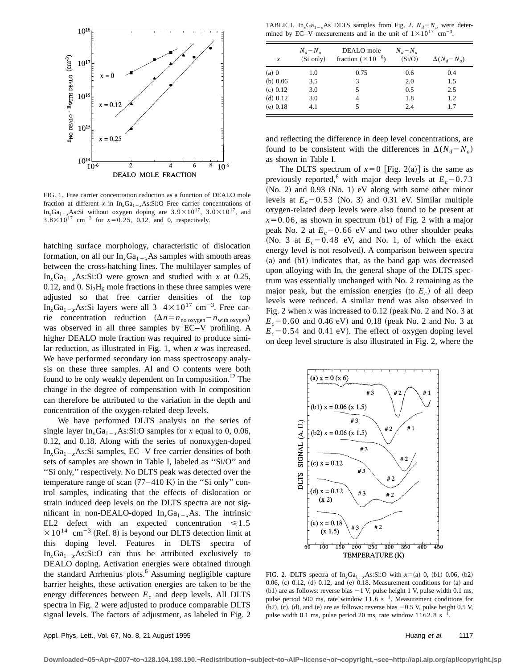

FIG. 1. Free carrier concentration reduction as a function of DEALO mole fraction at different *x* in  $In_xGa_{1-x}As:Si:O$  Free carrier concentrations of In<sub>x</sub>Ga<sub>1-x</sub>As:Si without oxygen doping are  $3.9\times10^{17}$ ,  $3.0\times10^{17}$ , and  $3.8 \times 10^{17}$  cm<sup>-3</sup> for  $x=0.25$ , 0.12, and 0, respectively.

hatching surface morphology, characteristic of dislocation formation, on all our  $In_xGa_{1-x}As$  samples with smooth areas between the cross-hatching lines. The multilayer samples of In<sub>x</sub>Ga<sub>1-x</sub>As:Si:O were grown and studied with *x* at 0.25, 0.12, and 0.  $Si<sub>2</sub>H<sub>6</sub>$  mole fractions in these three samples were adjusted so that free carrier densities of the top In<sub>x</sub>Ga<sub>1-x</sub>As:Si layers were all  $3-4\times10^{17}$  cm<sup>-3</sup>. Free carrie concentration reduction  $(\Delta n = n_{\text{no oxygen}} - n_{\text{with oxygen}})$ was observed in all three samples by EC–V profiling. A higher DEALO mole fraction was required to produce similar reduction, as illustrated in Fig. 1, when *x* was increased. We have performed secondary ion mass spectroscopy analysis on these three samples. Al and O contents were both found to be only weakly dependent on In composition.<sup>12</sup> The change in the degree of compensation with In composition can therefore be attributed to the variation in the depth and concentration of the oxygen-related deep levels.

We have performed DLTS analysis on the series of single layer  $In_xGa_{1-x}As:Si:O$  samples for *x* equal to 0, 0.06, 0.12, and 0.18. Along with the series of nonoxygen-doped  $In<sub>x</sub>Ga<sub>1-x</sub>As:Si samples, EC-V$  free carrier densities of both sets of samples are shown in Table I, labeled as ''Si/O'' and ''Si only,'' respectively. No DLTS peak was detected over the temperature range of scan  $(77-410 \text{ K})$  in the "Si only" control samples, indicating that the effects of dislocation or strain induced deep levels on the DLTS spectra are not significant in non-DEALO-doped  $In_xGa_{1-x}As$ . The intrinsic EL2 defect with an expected concentration  $\leq 1.5$  $\times$ 10<sup>14</sup> cm<sup>-3</sup> (Ref. 8) is beyond our DLTS detection limit at this doping level. Features in DLTS spectra of  $In_xGa_{1-x}As:Si:O$  can thus be attributed exclusively to DEALO doping. Activation energies were obtained through the standard Arrhenius plots.<sup>6</sup> Assuming negligible capture barrier heights, these activation energies are taken to be the energy differences between *Ec* and deep levels. All DLTS spectra in Fig. 2 were adjusted to produce comparable DLTS signal levels. The factors of adjustment, as labeled in Fig. 2

TABLE I. In<sub>x</sub>Ga<sub>1-x</sub>As DLTS samples from Fig. 2.  $N_d - N_a$  were determined by EC–V measurements and in the unit of  $1 \times 10^{17}$  cm<sup>-3</sup>.

| $\mathcal{X}$ | $N_d - N_a$<br>$(Si \text{ only})$ | DEALO mole<br>fraction $(\times 10^{-6})$ | $N_d - N_a$<br>(Si/O) | $\Delta(N_a-N_a)$ |
|---------------|------------------------------------|-------------------------------------------|-----------------------|-------------------|
| $(a)$ 0       | 1.0                                | 0.75                                      | 0.6                   | 0.4               |
| (b) 0.06      | 3.5                                | 3                                         | 2.0                   | 1.5               |
| (c) 0.12      | 3.0                                | 5                                         | 0.5                   | 2.5               |
| $(d)$ 0.12    | 3.0                                | 4                                         | 1.8                   | 1.2               |
| (e) 0.18      | 4.1                                |                                           | 2.4                   | 1.7               |

and reflecting the difference in deep level concentrations, are found to be consistent with the differences in  $\Delta(N_d-N_a)$ as shown in Table I.

The DLTS spectrum of  $x=0$  [Fig. 2(a)] is the same as previously reported,<sup>6</sup> with major deep levels at  $E_c$  – 0.73  $(No. 2)$  and  $0.93$   $(No. 1)$  eV along with some other minor levels at  $E_c$  – 0.53 (No. 3) and 0.31 eV. Similar multiple oxygen-related deep levels were also found to be present at  $x=0.06$ , as shown in spectrum (b1) of Fig. 2 with a major peak No. 2 at  $E_c$  – 0.66 eV and two other shoulder peaks (No. 3 at  $E_c$  -0.48 eV, and No. 1, of which the exact energy level is not resolved). A comparison between spectra  $(a)$  and  $(b1)$  indicates that, as the band gap was decreased upon alloying with In, the general shape of the DLTS spectrum was essentially unchanged with No. 2 remaining as the major peak, but the emission energies (to  $E_c$ ) of all deep levels were reduced. A similar trend was also observed in Fig. 2 when  $x$  was increased to 0.12 (peak No. 2 and No. 3 at  $E_c$  – 0.60 and 0.46 eV) and 0.18 (peak No. 2 and No. 3 at  $E_c$  – 0.54 and 0.41 eV). The effect of oxygen doping level on deep level structure is also illustrated in Fig. 2, where the



FIG. 2. DLTS spectra of  $In_xGa_{1-x}As:Si:O$  with  $x=(a)$  0, (b1) 0.06, (b2) 0.06,  $(c)$  0.12,  $(d)$  0.12, and  $(e)$  0.18. Measurement conditions for  $(a)$  and (b1) are as follows: reverse bias  $-1$  V, pulse height 1 V, pulse width 0.1 ms, pulse period 500 ms, rate window 11.6  $s^{-1}$ . Measurement conditions for (b2), (c), (d), and (e) are as follows: reverse bias  $-0.5$  V, pulse height 0.5 V, pulse width 0.1 ms, pulse period 20 ms, rate window  $1162.8 \text{ s}^{-1}$ .